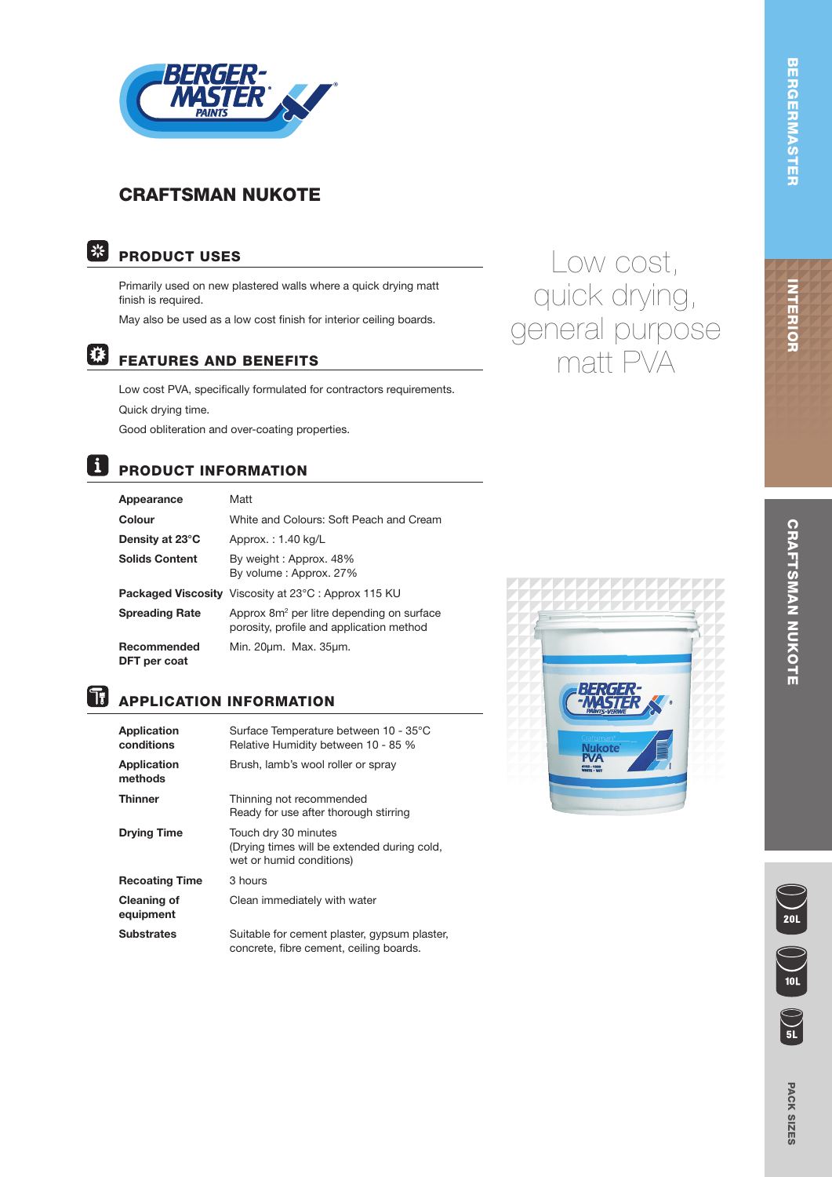

## CRAFTSMAN NUKOTE



## PRODUCT USES

Primarily used on new plastered walls where a quick drying matt finish is required.

May also be used as a low cost finish for interior ceiling boards.

## 梯

FEATURES AND BENEFITS

Low cost PVA, specifically formulated for contractors requirements. Quick drying time. Good obliteration and over-coating properties.

#### | i PRODUCT INFORMATION

| Appearance                  | Matt                                                                                              |
|-----------------------------|---------------------------------------------------------------------------------------------------|
| Colour                      | White and Colours: Soft Peach and Cream                                                           |
| Density at 23°C             | Approx.: 1.40 kg/L                                                                                |
| <b>Solids Content</b>       | By weight: Approx. 48%<br>By volume: Approx. 27%                                                  |
|                             | <b>Packaged Viscosity</b> Viscosity at 23°C: Approx 115 KU                                        |
| <b>Spreading Rate</b>       | Approx 8m <sup>2</sup> per litre depending on surface<br>porosity, profile and application method |
| Recommended<br>DFT per coat | Min. 20µm. Max. 35µm.                                                                             |

# **B** APPLICATION INFORMATION

| Application<br>conditions       | Surface Temperature between 10 - 35°C<br>Relative Humidity between 10 - 85 %                    |
|---------------------------------|-------------------------------------------------------------------------------------------------|
| <b>Application</b><br>methods   | Brush, lamb's wool roller or spray                                                              |
| <b>Thinner</b>                  | Thinning not recommended<br>Ready for use after thorough stirring                               |
| <b>Drying Time</b>              | Touch dry 30 minutes<br>(Drying times will be extended during cold,<br>wet or humid conditions) |
| <b>Recoating Time</b>           | 3 hours                                                                                         |
| <b>Cleaning of</b><br>equipment | Clean immediately with water                                                                    |
| <b>Substrates</b>               | Suitable for cement plaster, gypsum plaster,<br>concrete, fibre cement, ceiling boards.         |



Low cost,

quick drying,

general purpose

matt PVA

 $\sum_{5L}$